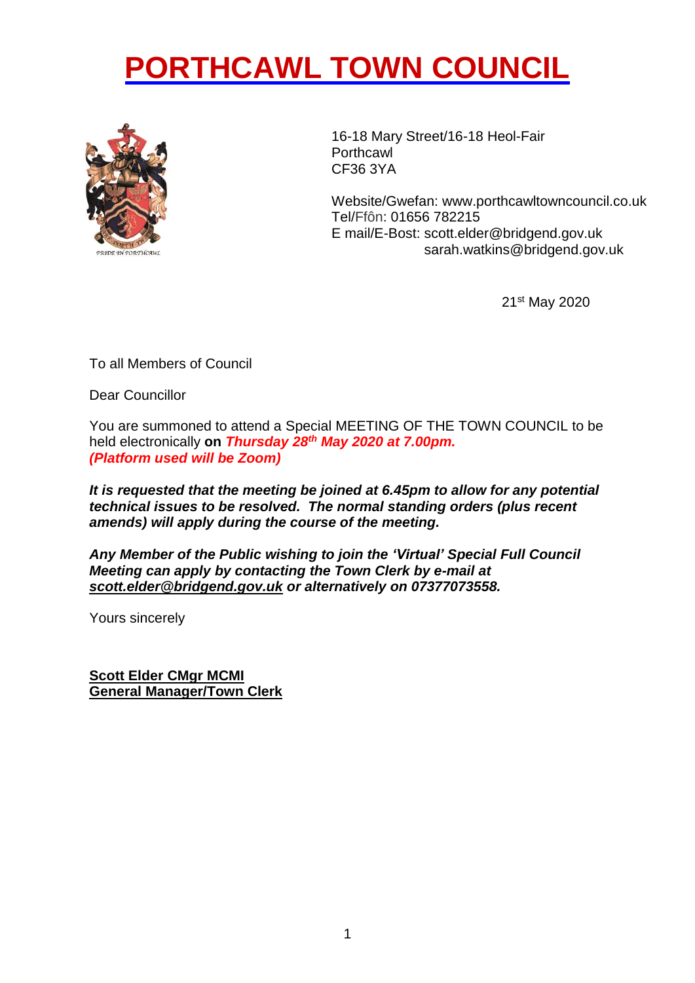## **PORTHCAWL TOWN COUNCIL**



16-18 Mary Street/16-18 Heol-Fair **Porthcawl** CF36 3YA

 sarah.watkins@bridgend.gov.ukWebsite/Gwefan: [www.porthcawltowncouncil.co.uk](http://www.porthcawltowncouncil.co.uk/) Tel/Ffôn: 01656 782215 E mail/E-Bost: scott.elder@bridgend.gov.uk

21st May 2020

To all Members of Council

Dear Councillor

You are summoned to attend a Special MEETING OF THE TOWN COUNCIL to be held electronically **on** *Thursday 28th May 2020 at 7.00pm. (Platform used will be Zoom)*

*It is requested that the meeting be joined at 6.45pm to allow for any potential technical issues to be resolved. The normal standing orders (plus recent amends) will apply during the course of the meeting.*

*Any Member of the Public wishing to join the 'Virtual' Special Full Council Meeting can apply by contacting the Town Clerk by e-mail at [scott.elder@bridgend.gov.uk](mailto:scott.elder@bridgend.gov.uk) or alternatively on 07377073558.*

Yours sincerely

**Scott Elder CMgr MCMI General Manager/Town Clerk**